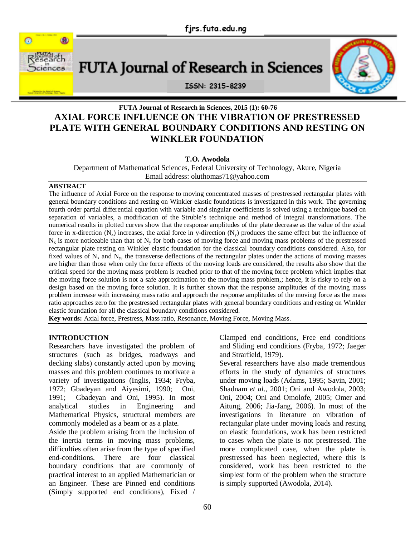

# FUTA Journal of Research in Sciences



ISSN: 2315-8239

## **FUTA Journal of Research in Sciences, 2015 (1): 60-76 AXIAL FORCE INFLUENCE ON THE VIBRATION OF PRESTRESSED PLATE WITH GENERAL BOUNDARY CONDITIONS AND RESTING ON WINKLER FOUNDATION**

## **T.O. Awodola**

Department of Mathematical Sciences, Federal University of Technology, Akure, Nigeria Email address: oluthomas71@yahoo.com

## **ABSTRACT**

The influence of Axial Force on the response to moving concentrated masses of prestressed rectangular plates with general boundary conditions and resting on Winkler elastic foundations is investigated in this work. The governing fourth order partial differential equation with variable and singular coefficients is solved using a technique based on separation of variables, a modification of the Struble's technique and method of integral transformations. The numerical results in plotted curves show that the response amplitudes of the plate decrease as the value of the axial force in x-direction  $(N_x)$  increases, the axial force in y-direction  $(N_y)$  produces the same effect but the influence of  $N_x$  is more noticeable than that of  $N_y$  for both cases of moving force and moving mass problems of the prestressed rectangular plate resting on Winkler elastic foundation for the classical boundary conditions considered. Also, for fixed values of  $N_x$  and  $N_y$ , the transverse deflections of the rectangular plates under the actions of moving masses are higher than those when only the force effects of the moving loads are considered, the results also show that the critical speed for the moving mass problem is reached prior to that of the moving force problem which implies that the moving force solution is not a safe approximation to the moving mass problem,; hence, it is risky to rely on a design based on the moving force solution. It is further shown that the response amplitudes of the moving mass problem increase with increasing mass ratio and approach the response amplitudes of the moving force as the mass ratio approaches zero for the prestressed rectangular plates with general boundary conditions and resting on Winkler elastic foundation for all the classical boundary conditions considered.

**Key words:** Axial force, Prestress, Mass ratio, Resonance, Moving Force, Moving Mass.

## **INTRODUCTION**

Researchers have investigated the problem of structures (such as bridges, roadways and decking slabs) constantly acted upon by moving masses and this problem continues to motivate a variety of investigations (Inglis, 1934; Fryba, 1972; Gbadeyan and Aiyesimi, 1990; Oni, 1991; Gbadeyan and Oni, 1995). In most analytical studies in Engineering and Mathematical Physics, structural members are commonly modeled as a beam or as a plate.

Aside the problem arising from the inclusion of the inertia terms in moving mass problems, difficulties often arise from the type of specified end-conditions. There are four classical boundary conditions that are commonly of practical interest to an applied Mathematician or an Engineer. These are Pinned end conditions (Simply supported end conditions), Fixed /

Clamped end conditions, Free end conditions and Sliding end conditions (Fryba, 1972; Jaeger and Strarfield, 1979).

Several researchers have also made tremendous efforts in the study of dynamics of structures under moving loads (Adams, 1995; Savin, 2001; Shadnam *et al*., 2001; Oni and Awodola, 2003; Oni, 2004; Oni and Omolofe, 2005; Omer and Aitung, 2006; Jia-Jang, 2006). In most of the investigations in literature on vibration of rectangular plate under moving loads and resting on elastic foundations, work has been restricted to cases when the plate is not prestressed. The more complicated case, when the plate is prestressed has been neglected, where this is considered, work has been restricted to the simplest form of the problem when the structure is simply supported (Awodola, 2014).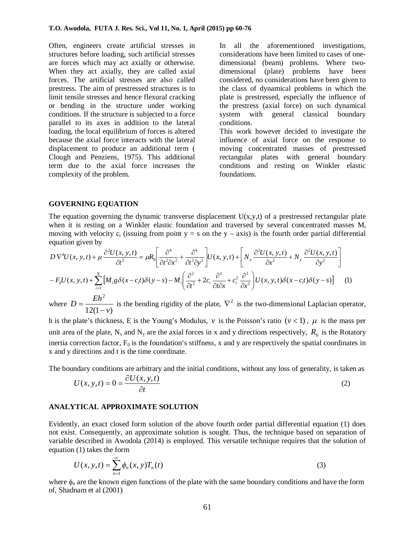Often, engineers create artificial stresses in structures before loading, such artificial stresses are forces which may act axially or otherwise. When they act axially, they are called axial forces. The artificial stresses are also called prestress. The aim of prestressed structures is to limit tensile stresses and hence flexural cracking or bending in the structure under working conditions. If the structure is subjected to a force parallel to its axes in addition to the lateral loading, the local equilibrium of forces is altered because the axial force interacts with the lateral displacement to produce an additional term ( Clough and Penziens, 1975). This additional term due to the axial force increases the complexity of the problem.

In all the aforementioned investigations, considerations have been limited to cases of onedimensional (beam) problems. Where twodimensional (plate) problems have been considered, no considerations have been given to the class of dynamical problems in which the plate is prestressed, especially the influence of the prestress (axial force) on such dynamical system with general classical boundary conditions.

This work however decided to investigate the influence of axial force on the response to moving concentrated masses of prestressed rectangular plates with general boundary conditions and resting on Winkler elastic foundations.

#### **GOVERNING EQUATION**

The equation governing the dynamic transverse displacement  $U(x,y,t)$  of a prestressed rectangular plate when it is resting on a Winkler elastic foundation and traversed by several concentrated masses  $M_i$ moving with velocity  $c_i$  (issuing from point  $y = s$  on the  $y - axis$ ) is the fourth order partial differential equation given by

$$
D \nabla^4 U(x, y, t) + \mu \frac{\partial^2 U(x, y, t)}{\partial t^2} = \mu R_0 \left[ \frac{\partial^4}{\partial t^2 \partial x^2} + \frac{\partial^4}{\partial t^2 \partial y^2} \right] U(x, y, t) + \left[ N_x \frac{\partial^2 U(x, y, t)}{\partial x^2} + N_y \frac{\partial^2 U(x, y, t)}{\partial y^2} \right]
$$
  

$$
-F_0 U(x, y, t) + \sum_{i=1}^N \left[ M_i g \delta(x - c_i t) \delta(y - s) - M_i \left( \frac{\partial^2}{\partial t^2} + 2c_i \frac{\partial^2}{\partial t \partial x} + c_i^2 \frac{\partial^2}{\partial x^2} \right) U(x, y, t) \delta(x - c_i t) \delta(y - s) \right]
$$
(1)

where  $12(1 - v)$ 2 *v*  $D = \frac{Eh}{12.5}$ - $=\frac{Eh}{42\pi\epsilon}$  is the bending rigidity of the plate,  $\nabla^2$  is the two-dimensional Laplacian operator,

h is the plate's thickness, E is the Young's Modulus, *v* is the Poisson's ratio  $(v < 1)$ ,  $\mu$  is the mass per unit area of the plate,  $N_x$  and  $N_y$  are the axial forces in x and y directions respectively,  $R_0$  is the Rotatory inertia correction factor,  $F_0$  is the foundation's stiffness, x and y are respectively the spatial coordinates in x and y directions and t is the time coordinate.

The boundary conditions are arbitrary and the initial conditions, without any loss of generality, is taken as

$$
U(x, y, t) = 0 = \frac{\partial U(x, y, t)}{\partial t}
$$
 (2)

#### **ANALYTICAL APPROXIMATE SOLUTION**

Evidently, an exact closed form solution of the above fourth order partial differential equation (1) does not exist. Consequently, an approximate solution is sought. Thus, the technique based on separation of variable described in Awodola (2014) is employed. This versatile technique requires that the solution of equation (1) takes the form

$$
U(x, y, t) = \sum_{n=1}^{\infty} \phi_n(x, y) T_n(t)
$$
\n(3)

where  $\phi_n$  are the known eigen functions of the plate with the same boundary conditions and have the form of, Shadnam et al (2001)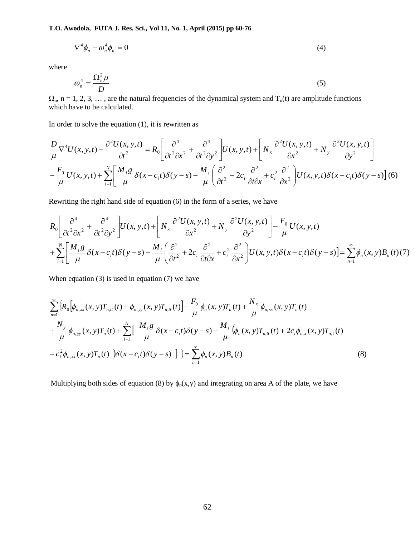$$
\nabla^4 \phi_n - \omega_n^4 \phi_n = 0 \tag{4}
$$

where

$$
\omega_n^4 = \frac{\Omega_n^2 \mu}{D} \tag{5}
$$

 $\Omega_n$ , n = 1, 2, 3, ..., are the natural frequencies of the dynamical system and  $T_n(t)$  are amplitude functions which have to be calculated.

In order to solve the equation  $(1)$ , it is rewritten as

$$
\frac{D}{\mu} \nabla^4 U(x, y, t) + \frac{\partial^2 U(x, y, t)}{\partial t^2} = R_0 \left[ \frac{\partial^4}{\partial t^2 \partial x^2} + \frac{\partial^4}{\partial t^2 \partial y^2} \right] U(x, y, t) + \left[ N_x \frac{\partial^2 U(x, y, t)}{\partial x^2} + N_y \frac{\partial^2 U(x, y, t)}{\partial y^2} \right]
$$
\n
$$
- \frac{F_0}{\mu} U(x, y, t) + \sum_{i=1}^N \left[ \frac{M_i g}{\mu} \delta(x - c_i t) \delta(y - s) - \frac{M_i}{\mu} \left( \frac{\partial^2}{\partial t^2} + 2c_i \frac{\partial^2}{\partial t \partial x} + c_i^2 \frac{\partial^2}{\partial x^2} \right) U(x, y, t) \delta(x - c_i t) \delta(y - s) \right] (6)
$$

Rewriting the right hand side of equation (6) in the form of a series, we have

$$
R_0 \left[ \frac{\partial^4}{\partial t^2 \partial x^2} + \frac{\partial^4}{\partial t^2 \partial y^2} \right] U(x, y, t) + \left[ N_x \frac{\partial^2 U(x, y, t)}{\partial x^2} + N_y \frac{\partial^2 U(x, y, t)}{\partial y^2} \right] - \frac{F_0}{\mu} U(x, y, t)
$$
  
+ 
$$
\sum_{i=1}^N \left[ \frac{M_i g}{\mu} \delta(x - c_i t) \delta(y - s) - \frac{M_i}{\mu} \left( \frac{\partial^2}{\partial t^2} + 2c_i \frac{\partial^2}{\partial t \partial x} + c_i^2 \frac{\partial^2}{\partial x^2} \right) U(x, y, t) \delta(x - c_i t) \delta(y - s) \right] = \sum_{n=1}^\infty \phi_n(x, y) B_n(t) (7)
$$

When equation (3) is used in equation (7) we have

$$
\sum_{n=1}^{\infty} \left\{ R_0 \left[ \phi_{n,\text{xx}}(x, y) T_{n,\text{tt}}(t) + \phi_{n,\text{yy}}(x, y) T_{n,\text{tt}}(t) \right] - \frac{F_0}{\mu} \phi_n(x, y) T_n(t) + \frac{N_x}{\mu} \phi_{n,\text{xx}}(x, y) T_n(t) + \frac{N_y}{\mu} \phi_{n,\text{yy}}(x, y) T_n(t) + \frac{N_y}{\mu} \phi_{n,\text{yy}}(x, y) T_n(t) + \sum_{i=1}^N \left[ \frac{M_i g}{\mu} \delta(x - c_i t) \delta(y - s) - \frac{M_i}{\mu} \left( \phi_n(x, y) T_{n,\text{tt}}(t) + 2c_i \phi_{n,\text{xx}}(x, y) T_{n,\text{tt}}(t) \right) + c_i^2 \phi_{n,\text{xx}}(x, y) T_n(t) \right] \} = \sum_{n=1}^{\infty} \phi_n(x, y) B_n(t)
$$
\n(8)

Multiplying both sides of equation (8) by  $\phi_p(x,y)$  and integrating on area A of the plate, we have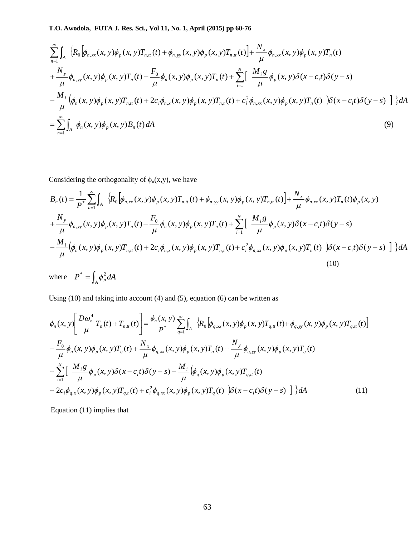$$
\sum_{n=1}^{\infty} \int_{A} \left\{ R_{0} \left[ \phi_{n,xx}(x, y) \phi_{p}(x, y) T_{n,n}(t) + \phi_{n,yy}(x, y) \phi_{p}(x, y) T_{n,n}(t) \right] + \frac{N_{x}}{\mu} \phi_{n,xx}(x, y) \phi_{p}(x, y) T_{n}(t) \n+ \frac{N_{y}}{\mu} \phi_{n,yy}(x, y) \phi_{p}(x, y) T_{n}(t) - \frac{F_{0}}{\mu} \phi_{n}(x, y) \phi_{p}(x, y) T_{n}(t) + \sum_{i=1}^{N} \left[ \frac{M_{i} g}{\mu} \phi_{p}(x, y) \delta(x - c_{i} t) \delta(y - s) \right. \n- \frac{M_{i}}{\mu} \left( \phi_{n}(x, y) \phi_{p}(x, y) T_{n,n}(t) + 2 c_{i} \phi_{n,x}(x, y) \phi_{p}(x, y) T_{n,n}(t) + c_{i}^{2} \phi_{n,xx}(x, y) \phi_{p}(x, y) T_{n}(t) \right) \delta(x - c_{i} t) \delta(y - s) \right] \} dA \n= \sum_{n=1}^{\infty} \int_{A} \phi_{n}(x, y) \phi_{p}(x, y) B_{n}(t) dA
$$
\n(9)

Considering the orthogonality of  $\phi_n(x,y)$ , we have

$$
B_{n}(t) = \frac{1}{P^{*}} \sum_{n=1}^{\infty} \int_{A} \left\{ R_{0} \left[ \phi_{n,xx}(x,y) \phi_{p}(x,y) T_{n,tt}(t) + \phi_{n,yy}(x,y) \phi_{p}(x,y) T_{n,tt}(t) \right] + \frac{N_{x}}{\mu} \phi_{n,xx}(x,y) T_{n}(t) \phi_{p}(x,y) + \frac{N_{y}}{\mu} \phi_{n,yy}(x,y) \phi_{p}(x,y) T_{n}(t) - \frac{F_{0}}{\mu} \phi_{n}(x,y) \phi_{p}(x,y) T_{n}(t) + \sum_{i=1}^{N} \left[ \frac{M_{i} g}{\mu} \phi_{p}(x,y) \delta(x-c_{i}t) \delta(y-s) - \frac{M_{i}}{\mu} \left( \phi_{n}(x,y) \phi_{p}(x,y) T_{n,tt}(t) + 2c_{i} \phi_{n,x}(x,y) \phi_{p}(x,y) T_{n,tt}(t) + c_{i}^{2} \phi_{n,xx}(x,y) \phi_{p}(x,y) T_{n}(t) \right) \delta(x-c_{i}t) \delta(y-s) \right] \} dA
$$
\n(10)

where  $P^* = \int_A \phi_p^2 dA$ 

Using (10) and taking into account (4) and (5), equation (6) can be written as

$$
\phi_n(x, y) \left[ \frac{D\omega_n^4}{\mu} T_n(t) + T_{n,t}(t) \right] = \frac{\phi_n(x, y)}{P^*} \sum_{q=1}^{\infty} \int_A \left\{ R_0 \left[ \phi_{q,xx}(x, y) \phi_p(x, y) T_{q,t}(t) + \phi_{q,yy}(x, y) \phi_p(x, y) T_{q,t}(t) \right] \right\}
$$
\n
$$
- \frac{F_0}{\mu} \phi_q(x, y) \phi_p(x, y) T_q(t) + \frac{N_x}{\mu} \phi_{q,xx}(x, y) \phi_p(x, y) T_q(t) + \frac{N_y}{\mu} \phi_{q,yy}(x, y) \phi_p(x, y) T_q(t)
$$
\n
$$
+ \sum_{i=1}^N \left[ \frac{M_i g}{\mu} \phi_p(x, y) \delta(x - c_i t) \delta(y - s) - \frac{M_i}{\mu} \left( \phi_q(x, y) \phi_p(x, y) T_{q,t}(t) \right) \right]
$$
\n
$$
+ 2c_i \phi_{q,x}(x, y) \phi_p(x, y) T_{q,t}(t) + c_i^2 \phi_{q,xx}(x, y) \phi_p(x, y) T_q(t) \right) \delta(x - c_i t) \delta(y - s) \bigg] \bigg\} dA \tag{11}
$$

Equation (11) implies that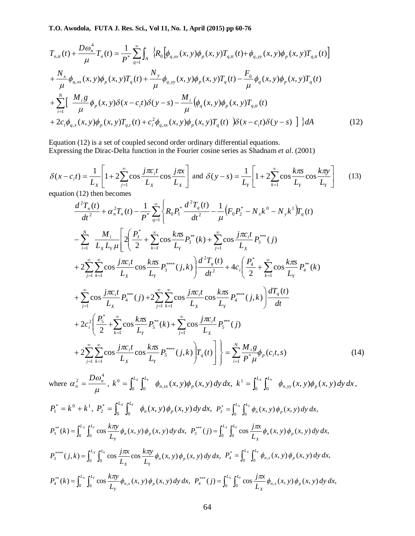$$
T_{n,n}(t) + \frac{D\omega_n^4}{\mu} T_n(t) = \frac{1}{P^*} \sum_{q=1}^{\infty} \int_A \left\{ R_0 \left[ \phi_{q,xx}(x, y) \phi_p(x, y) T_{q,n}(t) + \phi_{q,yy}(x, y) \phi_p(x, y) T_{q,n}(t) \right] \right\}
$$
  
+ 
$$
\frac{N_x}{\mu} \phi_{q,xx}(x, y) \phi_p(x, y) T_q(t) + \frac{N_y}{\mu} \phi_{q,yy}(x, y) \phi_p(x, y) T_q(t) - \frac{F_0}{\mu} \phi_q(x, y) \phi_p(x, y) T_q(t)
$$
  
+ 
$$
\sum_{i=1}^N \left[ \frac{M_i g}{\mu} \phi_p(x, y) \delta(x - c_i t) \delta(y - s) - \frac{M_i}{\mu} \left( \phi_q(x, y) \phi_p(x, y) T_{q,n}(t) \right) \right]
$$
  
+ 
$$
2c_i \phi_{q,x}(x, y) \phi_p(x, y) T_{q,t}(t) + c_i^2 \phi_{q,xx}(x, y) \phi_p(x, y) T_q(t) \left[ \delta(x - c_i t) \delta(y - s) \right] \right\} dA
$$
(12)

Equation (12) is a set of coupled second order ordinary differential equations. Expressing the Dirac-Delta function in the Fourier cosine series as Shadnam *et al*. (2001)

$$
\delta(x - c_i t) = \frac{1}{L_x} \left[ 1 + 2 \sum_{j=1}^{\infty} \cos \frac{j \pi c_i t}{L_x} \cos \frac{j \pi x}{L_x} \right] \text{ and } \delta(y - s) = \frac{1}{L_y} \left[ 1 + 2 \sum_{k=1}^{\infty} \cos \frac{k \pi s}{L_x} \cos \frac{k \pi y}{L_x} \right] \tag{13}
$$

equation (12) then becomes

$$
\frac{d^{2}T_{n}(t)}{dt^{2}} + \alpha_{n}^{2}T_{n}(t) - \frac{1}{P^{*}}\sum_{q=1}^{\infty} \left\{ R_{0}P_{1}^{*} \frac{d^{2}T_{q}(t)}{dt^{2}} - \frac{1}{\mu} \left( F_{0}P_{2}^{*} - N_{x}k^{0} - N_{y}k^{1} \right) T_{q}(t) \right. \\ \left. - \sum_{i=1}^{N} \frac{M_{i}}{L_{x}L_{y}\mu} \left[ 2\left( \frac{P_{3}^{*}}{2} + \sum_{k=1}^{\infty} \cos \frac{k\pi x}{L_{y}} P_{3}^{**}(k) + \sum_{j=1}^{\infty} \cos \frac{j\pi c_{i}t}{L_{x}} P_{3}^{***}(j) \right. \right. \\ \left. + 2\sum_{j=1}^{\infty} \sum_{k=1}^{\infty} \cos \frac{j\pi c_{i}t}{L_{x}} \cos \frac{k\pi x}{L_{y}} P_{3}^{***}(j,k) \right] \frac{d^{2}T_{q}(t)}{dt^{2}} + 4c_{i} \left( \frac{P_{4}^{*}}{2} + \sum_{k=1}^{\infty} \cos \frac{k\pi x}{L_{y}} P_{4}^{**}(k) \right. \\ \left. + \sum_{j=1}^{\infty} \cos \frac{j\pi c_{i}t}{L_{x}} P_{4}^{***}(j) + 2\sum_{j=1}^{\infty} \sum_{k=1}^{\infty} \cos \frac{j\pi c_{i}t}{L_{x}} \cos \frac{k\pi x}{L_{y}} P_{4}^{***}(j,k) \right) \frac{dT_{q}(t)}{dt} \\ \left. + 2c_{i}^{2} \left( \frac{P_{5}^{*}}{2} + \sum_{k=1}^{\infty} \cos \frac{k\pi x}{L_{y}} P_{5}^{**}(k) + \sum_{j=1}^{\infty} \cos \frac{j\pi c_{i}t}{L_{x}} P_{5}^{***}(j) \right. \\ \left. + 2\sum_{j=1}^{\infty} \sum_{k=1}^{\infty} \cos \frac{j\pi c_{i}t}{L_{x}} \cos \frac{k\pi x}{L_{y}} P_{5}^{***}(j,k) \right) T_{q}(t) \right] \right\} = \sum_{i=1}^{N} \frac
$$

where  $\mu$ ω α  $\frac{2}{n} = \frac{D\omega_n^4}{\omega_n^4}$ *D*  $=\frac{D\omega_n}{\omega_n}$ ,  $k^0 = \int_0^{L_x} \int_0^{L_y} \phi_{n,xx}(x, y) \phi_p(x, y) dy dx$ ,  $k^1 = \int_0^{L_x} \int_0^{L_y} \phi_{n,yy}(x, y) \phi_p(x, y) dy dx$  $n, x x \rightarrow 0$ ,  $y \rightarrow p$  $\int_0^{L_x} \int_0^{L_y} \phi_{n,xx}(x, y) \phi_p(x, y) dy dx, k^1 = \int_0^{L_x} \int_0^{L_y} \phi_{n,yy}(x, y) \phi_p(x, y)$ 1  $\mathbf{y}_0$   $\mathbf{y}_n$ ,  $S^0 = \int_0^{L_X} \int_0^{L_Y} \phi_{n,xx}(x, y) \phi_p(x, y) dy dx$ ,  $k^1 = \int_0^{L_X} \int_0^{L_Y} \phi_{n,yy}(x, y) \phi_p(x, y) dy dx$ ,  $P_1^* = k^0 + k^1$ ,  $P_2^* = \int_0^{L_X} \int_0^{L_Y} \phi_n(x, y) \phi_p(x, y) dy dx$ ,  $P_2^* = \int_0^{L_x} \int_0^{L_y} \phi_n(x, y) \phi_p(x, y) dy dx$ ,  $P_3^* = \int_0^{L_x} \int_0^{L_y} \phi_n(x, y) \phi_p(x, y) dy dx$ ,  $=\int_0^{L_X} \int_0^{L_Y} \phi_n(x, y) \phi_n$  $g(x) = \int_0^{x} \int_0^{x} \cos \frac{kxy}{L} \phi_n(x, y) \phi_p(x, y) dy dx$  $\int_{3}^{4\pi} (k) = \int_{0}^{L_X} \int_{0}^{L_Y} \cos \frac{k \lambda y}{L} \phi_n(x, y) \phi_p(x, y) dy dx$ *L*  $P_3^{**}(k) = \int_0^{L_x} \int_0^{L_y} \cos \frac{k\pi y}{L} \phi_n(x, y) \phi_p$ *Y*  $\mathcal{L} = \int_0^{L_x} \int_0^{L_y} \cos \frac{k \pi y}{L_x} \phi_n(x, y) \phi_p(x, y) dy dx$ ,  $P_3^{***}(j) = \int_0^{L_x} \int_0^{L_y} \cos \frac{j \pi x}{L_x} \phi_n(x, y) \phi_p(x, y) dy dx$ ,  $\int_3^{***}(j) = \int_0^{L_X} \int_0^{L_Y} \cos \frac{f}{L} \phi_n(x, y) \phi_p(x, y) dy dx$ *L*  $P_3^{***}(j) = \int_0^{L_x} \int_0^{L_y} \cos \frac{j\pi x}{L} \phi_n(x, y) \phi_p$  $L_X$   $\mathsf{r}L$ *n X*  $=\int_0^{L_x}\int_0^{L_y}\cos\frac{J\pi x}{L_y}\phi_n(x, y)\phi_n$  $(j, k) = \int_0^{2\pi} \int_0^{2\pi} \cos \frac{f(x, y)}{L} \cos \frac{kxy}{L} \phi_n(x, y) \phi_p(x, y) dy dx$  $\phi_p^{***}(j,k) = \int_0^{L_X} \int_0^{L_Y} \cos \frac{f(x)}{L} \cos \frac{k \pi y}{L} \phi_n(x, y) \phi_p(x, y) dy dx$ *L*  $k\pi y$ *L*  $P_3^{***}$   $(j,k) = \int_0^{L_x} \int_0^{L_y} \cos \frac{j\pi x}{l} \cos \frac{k\pi y}{l} \phi_n(x, y) \phi_p$ *X*  $\boldsymbol{\nu}_Y$  $=\int_0^{L_x} \int_0^{L_y} \cos \frac{j\pi x}{L_x} \cos \frac{k\pi y}{L_x} \phi_n(x, y) \phi_p(x, y) dy dx, P_4^* = \int_0^{L_x} \int_0^{L_y} \phi_{n,x}(x, y) \phi_p(x, y) dy dx,$  $=\int_0^{L_X} \int_0^{L_Y} \phi_{n,x}(x, y) \phi$  $g(x) = \int_0^{-x} \int_0^{-y} \cos \frac{f(x, y)}{L_x} \phi_{n, x}(x, y) \phi_p(x, y) dy dx$  $\int_{4}^{4*}(k) = \int_{0}^{L_X} \int_{0}^{L_Y} \cos \frac{k \lambda y}{L} \phi_{n,x}(x, y) \phi_p(x, y) dy dx$ *L*  $P_4^{**}(k) = \int_0^{L_x} \int_0^{L_y} \cos \frac{k\pi y}{L} \phi_{n,x}(x, y) \phi_p$ *Y*  $\int_0^{L_x} \int_0^{L_y} \cos \frac{k\pi y}{L_x} \phi_{n,x}(x, y) \phi_p(x, y) dy dx$ ,  $P_4^{***}(j) = \int_0^{L_x} \int_0^{L_y} \cos \frac{j\pi x}{L_x} \phi_{n,x}(x, y) \phi_p(x, y) dy dx$ , *L*  $P_4^{***}$   $(j) = \int_0^{L_x} \int_0^{L_y} \cos \frac{j\pi x}{l} \phi_{n,x}(x, y) \phi_p$  $L_X$   $\mathsf{P}^L$ *n x X*  $=\int_0^{L_x} \int_0^{L_y} \cos \frac{J\pi x}{L_x} \phi_{n,x}(x, y) \phi_{n,x}(x, y)$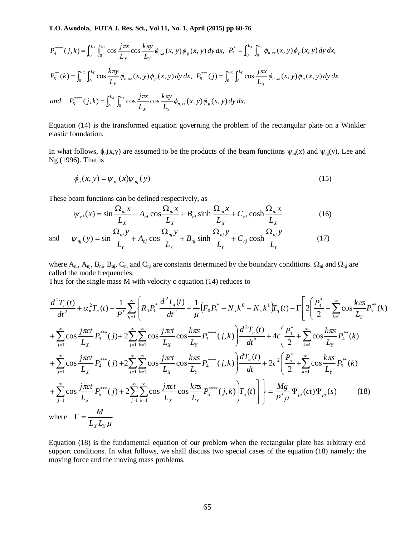$$
P_4^{****}(j,k) = \int_0^{L_X} \int_0^{L_Y} \cos \frac{j\pi x}{L_X} \cos \frac{k\pi y}{L_Y} \phi_{n,x}(x, y) \phi_p(x, y) dy dx, P_5^* = \int_0^{L_X} \int_0^{L_Y} \phi_{n,xx}(x, y) \phi_p(x, y) dy dx,
$$
  

$$
P_5^{**}(k) = \int_0^{L_X} \int_0^{L_Y} \cos \frac{k\pi y}{L_Y} \phi_{n,xx}(x, y) \phi_p(x, y) dy dx, P_5^{***}(j) = \int_0^{L_X} \int_0^{L_Y} \cos \frac{j\pi x}{L_X} \phi_{n,xx}(x, y) \phi_p(x, y) dy dx
$$
  
and 
$$
P_5^{****}(j,k) = \int_0^{L_X} \int_0^{L_Y} \cos \frac{j\pi x}{L_X} \cos \frac{k\pi y}{L_Y} \phi_{n,xx}(x, y) \phi_p(x, y) dy dx,
$$

Equation (14) is the transformed equation governing the problem of the rectangular plate on a Winkler elastic foundation.

In what follows,  $\phi_n(x,y)$  are assumed to be the products of the beam functions  $\psi_{ni}(x)$  and  $\psi_{ni}(y)$ , Lee and Ng (1996). That is

$$
\phi_n(x, y) = \psi_{ni}(x)\psi_{nj}(y) \tag{15}
$$

These beam functions can be defined respectively, as

$$
\psi_{ni}(x) = \sin \frac{\Omega_{ni} x}{L_x} + A_{ni} \cos \frac{\Omega_{ni} x}{L_x} + B_{ni} \sinh \frac{\Omega_{ni} x}{L_x} + C_{ni} \cosh \frac{\Omega_{ni} x}{L_x}
$$
(16)

and 
$$
\psi_{nj}(y) = \sin \frac{\Omega_{nj} y}{L_y} + A_{nj} \cos \frac{\Omega_{nj} y}{L_y} + B_{nj} \sinh \frac{\Omega_{nj} y}{L_y} + C_{nj} \cosh \frac{\Omega_{nj} y}{L_y}
$$
(17)

where  $A_{ni}$ ,  $A_{nj}$ ,  $B_{ni}$ ,  $B_{nj}$ ,  $C_{ni}$  and  $C_{nj}$  are constants determined by the boundary conditions.  $\Omega_{ni}$  and  $\Omega_{nj}$  are called the mode frequencies.

Thus for the single mass M with velocity c equation (14) reduces to

$$
\frac{d^{2}T_{n}(t)}{dt^{2}} + \alpha_{n}^{2}T_{n}(t) - \frac{1}{P^{*}}\sum_{q=1}^{\infty} \left\{ R_{0}P_{1}^{*} \frac{d^{2}T_{q}(t)}{dt^{2}} - \frac{1}{\mu} \left( F_{0}P_{2}^{*} - N_{x}k^{0} - N_{y}k^{1} \right) T_{q}(t) - \Gamma \left[ 2 \left( \frac{P_{3}^{*}}{2} + \sum_{k=1}^{\infty} \cos \frac{k\pi s}{L_{Y}} P_{3}^{**}(k) \right) + \sum_{j=1}^{\infty} \sum_{k=1}^{\infty} \sum_{j=1}^{\infty} \sum_{k=1}^{\infty} \cos \frac{j\pi ct}{L_{X}} \cos \frac{k\pi s}{L_{Y}} P_{3}^{***}(j,k) \right] \frac{d^{2}T_{q}(t)}{dt^{2}} + 4c \left( \frac{P_{4}^{*}}{2} + \sum_{k=1}^{\infty} \cos \frac{k\pi s}{L_{Y}} P_{4}^{**}(k) \right) + \sum_{j=1}^{\infty} \sum_{k=1}^{\infty} \sum_{k=1}^{\infty} \sum_{k=1}^{\infty} \cos \frac{j\pi ct}{L_{X}} P_{4}^{***}(j,k) \right) \frac{dT_{q}(t)}{dt} + 2c^{2} \left( \frac{P_{5}^{*}}{2} + \sum_{k=1}^{\infty} \cos \frac{k\pi s}{L_{Y}} P_{5}^{**}(k) \right) + \sum_{j=1}^{\infty} \sum_{k=1}^{\infty} \sum_{k=1}^{\infty} \sum_{k=1}^{\infty} \sum_{k=1}^{\infty} \sum_{k=1}^{\infty} \sum_{k=1}^{\infty} \sum_{k=1}^{\infty} \sum_{k=1}^{\infty} \sum_{k=1}^{\infty} \sum_{k=1}^{\infty} \sum_{k=1}^{\infty} \sum_{k=1}^{\infty} \sum_{k=1}^{\infty} \sum_{k=1}^{\infty} \sum_{k=1}^{\infty} \sum_{k=1}^{\infty} \sum_{k=1}^{\infty} \sum_{k=1}^{\infty} \sum_{k=1}^{\infty} \sum_{k=1
$$

Equation (18) is the fundamental equation of our problem when the rectangular plate has arbitrary end support conditions. In what follows, we shall discuss two special cases of the equation (18) namely; the moving force and the moving mass problems.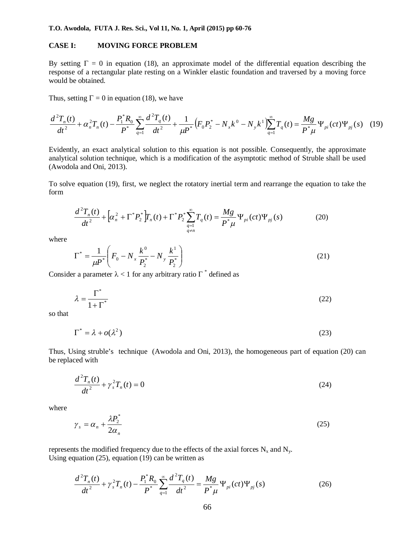#### **CASE I: MOVING FORCE PROBLEM**

By setting  $\Gamma = 0$  in equation (18), an approximate model of the differential equation describing the response of a rectangular plate resting on a Winkler elastic foundation and traversed by a moving force would be obtained.

Thus, setting  $\Gamma = 0$  in equation (18), we have

$$
\frac{d^2T_n(t)}{dt^2} + \alpha_n^2 T_n(t) - \frac{P_1^* R_0}{P^*} \sum_{q=1}^{\infty} \frac{d^2T_q(t)}{dt^2} + \frac{1}{\mu P^*} \Big( F_0 P_2^* - N_x k^0 - N_y k^1 \Big) \sum_{q=1}^{\infty} T_q(t) = \frac{Mg}{P^* \mu} \Psi_{pi}(ct) \Psi_{pj}(s)
$$
 (19)

Evidently, an exact analytical solution to this equation is not possible. Consequently, the approximate analytical solution technique, which is a modification of the asymptotic method of Struble shall be used (Awodola and Oni, 2013).

To solve equation (19), first, we neglect the rotatory inertial term and rearrange the equation to take the form

$$
\frac{d^2 T_n(t)}{dt^2} + \left[ \alpha_n^2 + \Gamma^* P_2^* \right] T_n(t) + \Gamma^* P_2^* \sum_{\substack{q=1 \ q \neq n}}^{\infty} T_q(t) = \frac{Mg}{P^* \mu} \Psi_{pi}(ct) \Psi_{pj}(s)
$$
(20)

where

$$
\Gamma^* = \frac{1}{\mu P^*} \left( F_0 - N_x \frac{k^0}{P_2^*} - N_y \frac{k^1}{P_2^*} \right)
$$
 (21)

Consider a parameter  $\lambda < 1$  for any arbitrary ratio  $\Gamma^*$  defined as

$$
\lambda = \frac{\Gamma^*}{1 + \Gamma^*} \tag{22}
$$

so that

$$
\Gamma^* = \lambda + o(\lambda^2) \tag{23}
$$

Thus, Using struble's technique (Awodola and Oni, 2013), the homogeneous part of equation (20) can be replaced with

$$
\frac{d^2T_n(t)}{dt^2} + \gamma_s^2 T_n(t) = 0
$$
\n(24)

where

$$
\gamma_s = \alpha_n + \frac{\lambda P_2^*}{2\alpha_n} \tag{25}
$$

represents the modified frequency due to the effects of the axial forces  $N_x$  and  $N_y$ . Using equation  $(25)$ , equation  $(19)$  can be written as

$$
\frac{d^2T_n(t)}{dt^2} + \gamma_s^2 T_n(t) - \frac{P_1^* R_0}{P^*} \sum_{q=1}^{\infty} \frac{d^2T_q(t)}{dt^2} = \frac{Mg}{P^* \mu} \Psi_{pi}(ct) \Psi_{pj}(s)
$$
(26)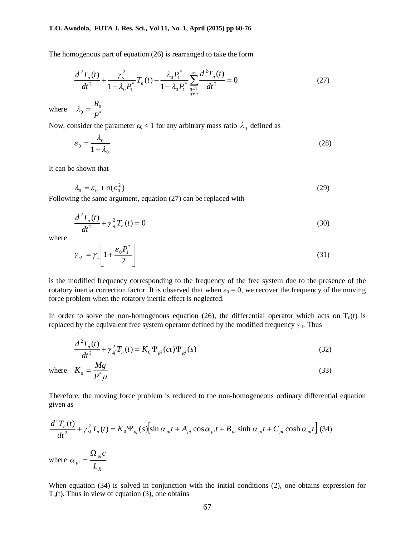The homogenous part of equation (26) is rearranged to take the form

$$
\frac{d^2T_n(t)}{dt^2} + \frac{\gamma_s^2}{1 - \lambda_0 P_1^*} T_n(t) - \frac{\lambda_0 P_1^*}{1 - \lambda_0 P_1^*} \sum_{\substack{q=1 \ q \neq n}}^{\infty} \frac{d^2T_q(t)}{dt^2} = 0
$$
\n(27)

where  $\lambda_0 = \frac{R_0}{P^*}$  $\lambda_0 = \frac{R}{R}$ 

Now, consider the parameter  $\varepsilon_0 < 1$  for any arbitrary mass ratio  $\lambda_0$  defined as

$$
\varepsilon_0 = \frac{\lambda_0}{1 + \lambda_0} \tag{28}
$$

It can be shown that

$$
\lambda_0 = \varepsilon_0 + o(\varepsilon_0^2) \tag{29}
$$

Following the same argument, equation (27) can be replaced with

$$
\frac{d^2T_n(t)}{dt^2} + \gamma_{sf}^2 T_n(t) = 0
$$
\n(30)

where

$$
\gamma_{sf} = \gamma_s \left[ 1 + \frac{\varepsilon_0 P_1^*}{2} \right] \tag{31}
$$

is the modified frequency corresponding to the frequency of the free system due to the presence of the rotatory inertia correction factor. It is observed that when  $\varepsilon_0 = 0$ , we recover the frequency of the moving force problem when the rotatory inertia effect is neglected.

In order to solve the non-homogenous equation (26), the differential operator which acts on  $T_n(t)$  is replaced by the equivalent free system operator defined by the modified frequency  $\gamma_{sf}$ . Thus

$$
\frac{d^2T_n(t)}{dt^2} + \gamma_{sf}^2 T_n(t) = K_0 \Psi_{pi}(ct) \Psi_{pj}(s)
$$
\n(32)

where 
$$
K_0 = \frac{Mg}{P^*\mu}
$$
 (33)

Therefore, the moving force problem is reduced to the non-homogeneous ordinary differential equation given as

$$
\frac{d^2T_n(t)}{dt^2} + \gamma_{sf}^2T_n(t) = K_0\Psi_{pj}(s)\left[\sin\alpha_{pi}t + A_{pi}\cos\alpha_{pi}t + B_{pi}\sinh\alpha_{pi}t + C_{pi}\cosh\alpha_{pi}t\right] (34)
$$

where *X pi*  $p_i$   $\bar{L}$  $\Omega$   $_{\scriptscriptstyle{pi}}c$  $\alpha_{\scriptscriptstyle ni} =$ 

When equation (34) is solved in conjunction with the initial conditions (2), one obtains expression for  $T_n(t)$ . Thus in view of equation (3), one obtains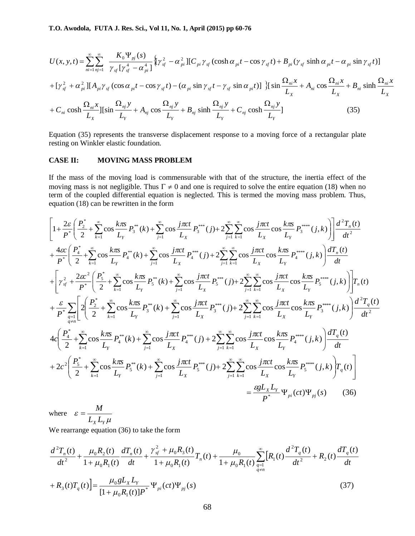$$
U(x, y, t) = \sum_{ni=1}^{\infty} \sum_{nj=1}^{\infty} \frac{K_0 \Psi_{pj}(s)}{\gamma_{sf} [\gamma_{sf}^4 - \alpha_{pi}^4]} \{ [\gamma_{sf}^2 - \alpha_{pi}^2] [C_{pi} \gamma_{sf} (\cosh \alpha_{pi} t - \cos \gamma_{sf} t) + B_{pi} (\gamma_{sf} \sin \alpha_{pi} t - \alpha_{pi} \sin \gamma_{sf} t) ]
$$
  
+  $[\gamma_{sf}^2 + \alpha_{pi}^2] [A_{pi} \gamma_{sf} (\cos \alpha_{pi} t - \cos \gamma_{sf} t) - (\alpha_{pi} \sin \gamma_{sf} t - \gamma_{sf} \sin \alpha_{pi} t)] \} [\sin \frac{\Omega_{ni} x}{L_x} + A_{ni} \cos \frac{\Omega_{ni} x}{L_x} + B_{ni} \sinh \frac{\Omega_{ni} x}{L_x} + C_{ni} \cosh \frac{\Omega_{ni} x}{L_x}] [\sin \frac{\Omega_{ni} y}{L_x} + A_{nj} \cos \frac{\Omega_{nj} y}{L_y} + B_{nj} \sinh \frac{\Omega_{nj} y}{L_y} + C_{nj} \cosh \frac{\Omega_{nj} y}{L_y}]$ (35)

Equation (35) represents the transverse displacement response to a moving force of a rectangular plate resting on Winkler elastic foundation.

## **CASE II: MOVING MASS PROBLEM**

If the mass of the moving load is commensurable with that of the structure, the inertia effect of the moving mass is not negligible. Thus  $\Gamma \neq 0$  and one is required to solve the entire equation (18) when no term of the coupled differential equation is neglected. This is termed the moving mass problem. Thus, equation (18) can be rewritten in the form

$$
\left[1+\frac{2\varepsilon}{P^*}\left(\frac{P_2^*}{2}+\sum_{k=1}^{\infty}\cos\frac{k\pi x}{L_y}P_3^{**}(k)+\sum_{j=1}^{\infty}\cos\frac{j\pi ct}{L_x}P_3^{***}(j)+2\sum_{j=1}^{\infty}\sum_{k=1}^{\infty}\cos\frac{j\pi ct}{L_x}\cos\frac{k\pi x}{L_y}P_3^{***}(j,k)\right)\right]\frac{d^2T_n(t)}{dt^2} + \frac{4\varepsilon}{P^*}\left(\frac{P_4^*}{2}+\sum_{k=1}^{\infty}\cos\frac{k\pi x}{L_y}P_4^{**}(k)+\sum_{j=1}^{\infty}\cos\frac{j\pi ct}{L_x}P_4^{***}(j)+2\sum_{j=1}^{\infty}\sum_{k=1}^{\infty}\cos\frac{j\pi ct}{L_x}\cos\frac{k\pi x}{L_y}P_4^{***}(j,k)\right)\frac{dT_n(t)}{dt} + \left[\gamma_{sf}^2+\frac{2\varepsilon^2}{P^*}\left(\frac{P_5^*}{2}+\sum_{k=1}^{\infty}\cos\frac{k\pi x}{L_y}P_5^{**}(k)+\sum_{j=1}^{\infty}\cos\frac{j\pi ct}{L_x}P_5^{***}(j)+2\sum_{j=1}^{\infty}\sum_{k=1}^{\infty}\cos\frac{j\pi ct}{L_x}\cos\frac{k\pi x}{L_y}P_5^{***}(j,k)\right)\right]T_n(t) + \frac{\varepsilon}{P^*}\sum_{q=1}^{\infty}\left[2\left(\frac{P_2^*}{2}+\sum_{k=1}^{\infty}\cos\frac{k\pi x}{L_y}P_3^{**}(k)+\sum_{j=1}^{\infty}\cos\frac{j\pi ct}{L_x}P_5^{***}(j)+2\sum_{j=1}^{\infty}\sum_{k=1}^{\infty}\cos\frac{j\pi ct}{L_x}\cos\frac{k\pi x}{L_y}P_3^{***}(j,k)\right)\frac{d^2T_n(t)}{dt^2} + 4c\left(\frac{P_4^*}{2}+\sum_{k=1}^{\infty}\cos\frac{k\pi x}{L_y}P_4^{**}(k)+\sum_{j=1}^{\infty}\cos\frac{j\pi ct}{L_x}P_4^{***}(j)+2\sum_{j=1}^{\infty}\sum_{k=1}^{\infty}\cos\frac{j\pi ct
$$

where  $\mu$  $\varepsilon = \frac{1}{L_X L_Y}$  $=\frac{M}{I}$ 

We rearrange equation (36) to take the form

$$
\frac{d^2T_n(t)}{dt^2} + \frac{\mu_0 R_2(t)}{1 + \mu_0 R_1(t)} \frac{dT_n(t)}{dt} + \frac{\gamma_{sf}^2 + \mu_0 R_3(t)}{1 + \mu_0 R_1(t)} T_n(t) + \frac{\mu_0}{1 + \mu_0 R_1(t)} \sum_{q=1}^{\infty} \left[ R_1(t) \frac{d^2T_q(t)}{dt^2} + R_2(t) \frac{dT_q(t)}{dt} + R_3(t)T_q(t) \right] = \frac{\mu_0 g L_x L_y}{\left[ 1 + \mu_0 R_1(t) \right] P^*} \Psi_{pi}(ct) \Psi_{pj}(s)
$$
\n(37)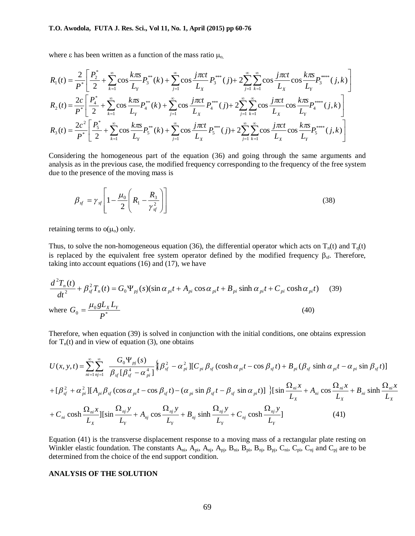where  $\varepsilon$  has been written as a function of the mass ratio  $\mu_{o}$ ,

$$
R_{1}(t) = \frac{2}{P^{*}} \left[ \frac{P_{2}^{*}}{2} + \sum_{k=1}^{\infty} \cos \frac{k\pi s}{L_{Y}} P_{3}^{**}(k) + \sum_{j=1}^{\infty} \cos \frac{j\pi ct}{L_{X}} P_{3}^{***}(j) + 2 \sum_{j=1}^{\infty} \sum_{k=1}^{\infty} \cos \frac{j\pi ct}{L_{X}} \cos \frac{k\pi s}{L_{Y}} P_{3}^{***}(j,k) \right]
$$
  
\n
$$
R_{2}(t) = \frac{2c}{P^{*}} \left[ \frac{P_{4}^{*}}{2} + \sum_{k=1}^{\infty} \cos \frac{k\pi s}{L_{Y}} P_{4}^{**}(k) + \sum_{j=1}^{\infty} \cos \frac{j\pi ct}{L_{X}} P_{4}^{***}(j) + 2 \sum_{j=1}^{\infty} \sum_{k=1}^{\infty} \cos \frac{j\pi ct}{L_{X}} \cos \frac{k\pi s}{L_{Y}} P_{4}^{***}(j,k) \right]
$$
  
\n
$$
R_{3}(t) = \frac{2c^{2}}{P^{*}} \left[ \frac{P_{5}^{*}}{2} + \sum_{k=1}^{\infty} \cos \frac{k\pi s}{L_{Y}} P_{5}^{**}(k) + \sum_{j=1}^{\infty} \cos \frac{j\pi ct}{L_{X}} P_{5}^{***}(j) + 2 \sum_{j=1}^{\infty} \sum_{k=1}^{\infty} \cos \frac{j\pi ct}{L_{X}} \cos \frac{k\pi s}{L_{Y}} P_{5}^{***}(j,k) \right]
$$

Considering the homogeneous part of the equation (36) and going through the same arguments and analysis as in the previous case, the modified frequency corresponding to the frequency of the free system due to the presence of the moving mass is

$$
\beta_{sf} = \gamma_{sf} \left[ 1 - \frac{\mu_0}{2} \left( R_1 - \frac{R_3}{\gamma_{sf}^2} \right) \right]
$$
\n(38)

retaining terms to  $o(\mu_o)$  only.

Thus, to solve the non-homogeneous equation (36), the differential operator which acts on  $T_n(t)$  and  $T_q(t)$ is replaced by the equivalent free system operator defined by the modified frequency  $\beta_{sf}$ . Therefore, taking into account equations (16) and (17), we have

$$
\frac{d^2 T_n(t)}{dt^2} + \beta_{sf}^2 T_n(t) = G_0 \Psi_{pj}(s) (\sin \alpha_{pi} t + A_{pi} \cos \alpha_{pi} t + B_{pi} \sinh \alpha_{pi} t + C_{pi} \cosh \alpha_{pi} t)
$$
(39)  
where 
$$
G_0 = \frac{\mu_0 g L_x L_y}{P^*}
$$
(40)

Therefore, when equation (39) is solved in conjunction with the initial conditions, one obtains expression for  $T_n(t)$  and in view of equation (3), one obtains

$$
U(x, y, t) = \sum_{ni=1}^{\infty} \sum_{nj=1}^{\infty} \frac{G_0 \Psi_{pj}(s)}{\beta_{sf} [\beta_{sf}^4 - \alpha_{pi}^4]} \{ [\beta_{sf}^2 - \alpha_{pi}^2] [C_{pi} \beta_{sf} (\cosh \alpha_{pi} t - \cos \beta_{sf} t) + B_{pi} (\beta_{sf} \sin \alpha_{pi} t - \alpha_{pi} \sin \beta_{sf} t)]
$$
  
+  $[\beta_{sf}^2 + \alpha_{pi}^2] [A_{pi} \beta_{sf} (\cos \alpha_{pi} t - \cos \beta_{sf} t) - (\alpha_{pi} \sin \beta_{sf} t - \beta_{sf} \sin \alpha_{pi} t)] \} [\sin \frac{\Omega_{ni} x}{L_x} + A_{ni} \cos \frac{\Omega_{ni} x}{L_x} + B_{ni} \sinh \frac{\Omega_{ni} x}{L_x} + C_{ni} \cosh \frac{\Omega_{ni} x}{L_x}] [\sin \frac{\Omega_{nj} y}{L_x} + A_{nj} \cos \frac{\Omega_{nj} y}{L_x} + B_{nj} \sinh \frac{\Omega_{nj} y}{L_y} + B_{nj} \sinh \frac{\Omega_{nj} y}{L_y} + C_{nj} \cosh \frac{\Omega_{nj} y}{L_y}] \qquad (41)$ 

Equation (41) is the transverse displacement response to a moving mass of a rectangular plate resting on Winkler elastic foundation. The constants  $A_{ni}$ ,  $\overline{A}_{pi}$ ,  $A_{pj}$ ,  $A_{pj}$ ,  $B_{ni}$ ,  $B_{pi}$ ,  $B_{pj}$ ,  $B_{nj}$ ,  $C_{ni}$ ,  $C_{pi}$ ,  $C_{pj}$  and  $C_{pj}$  are to be determined from the choice of the end support condition.

## **ANALYSIS OF THE SOLUTION**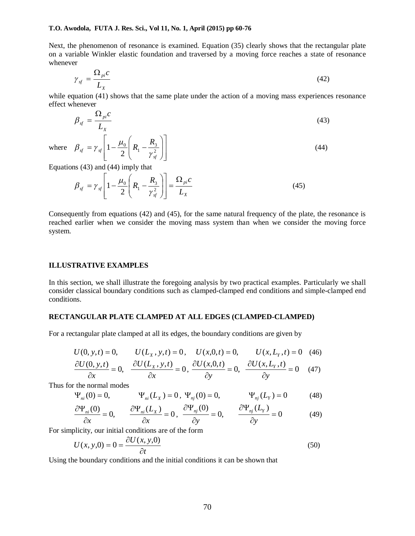Next, the phenomenon of resonance is examined. Equation (35) clearly shows that the rectangular plate on a variable Winkler elastic foundation and traversed by a moving force reaches a state of resonance whenever

$$
\gamma_{sf} = \frac{\Omega_{pi}c}{L_X} \tag{42}
$$

while equation (41) shows that the same plate under the action of a moving mass experiences resonance effect whenever

$$
\beta_{sf} = \frac{\Omega_{pi}c}{L_X} \tag{43}
$$

where L  $\mathbf{r}$  $\overline{\phantom{a}}$  $\mathbf{r}$  $=\gamma_{sf}\left[1-\frac{\mu_0}{2}\right]R_1-\frac{\mu_3}{\nu^2}$ 2 1 *sf sf*  $\beta_{sf} = \gamma_{sf} \left| 1 - \frac{\mu_0}{\epsilon} \right| R_1 - \frac{R_3}{\epsilon^2} \left| \frac{\epsilon}{\epsilon^2} \right|$  (44)

Equations (43) and (44) imply that

$$
\beta_{sf} = \gamma_{sf} \left[ 1 - \frac{\mu_0}{2} \left( R_1 - \frac{R_3}{\gamma_{sf}^2} \right) \right] = \frac{\Omega_{pi} c}{L_X} \tag{45}
$$

 $\overline{\phantom{a}}$  $\overline{\phantom{a}}$  $\overline{\phantom{a}}$ 

 $\overline{\phantom{a}}$  $\overline{\phantom{a}}$  $\bigg)$ 

*sf*

 $R_1 - \frac{R}{a}$ γ

 $\overline{\phantom{a}}$ L  $\setminus$ 

ſ

 $\setminus$ 

 $\overline{\phantom{a}}$ 

Consequently from equations (42) and (45), for the same natural frequency of the plate, the resonance is reached earlier when we consider the moving mass system than when we consider the moving force system.

#### **ILLUSTRATIVE EXAMPLES**

In this section, we shall illustrate the foregoing analysis by two practical examples. Particularly we shall consider classical boundary conditions such as clamped-clamped end conditions and simple-clamped end conditions.

## **RECTANGULAR PLATE CLAMPED AT ALL EDGES (CLAMPED-CLAMPED)**

For a rectangular plate clamped at all its edges, the boundary conditions are given by

$$
U(0, y, t) = 0, \qquad U(L_x, y, t) = 0, \quad U(x, 0, t) = 0, \qquad U(x, L_y, t) = 0 \quad (46)
$$

$$
\frac{\partial U(0, y, t)}{\partial x} = 0, \quad \frac{\partial U(L_x, y, t)}{\partial x} = 0, \quad \frac{\partial U(x, 0, t)}{\partial y} = 0, \quad \frac{\partial U(x, L_y, t)}{\partial y} = 0 \quad (47)
$$

Thus for the normal modes

$$
\Psi_{ni}(0) = 0,
$$
  $\Psi_{ni}(L_X) = 0, \Psi_{nj}(0) = 0,$   $\Psi_{nj}(L_Y) = 0$  (48)

$$
\frac{\partial \Psi_{ni}(0)}{\partial x} = 0, \qquad \frac{\partial \Psi_{ni}(L_x)}{\partial x} = 0, \quad \frac{\partial \Psi_{nj}(0)}{\partial y} = 0, \qquad \frac{\partial \Psi_{nj}(L_y)}{\partial y} = 0 \tag{49}
$$

For simplicity, our initial conditions are of the form

$$
U(x, y, 0) = 0 = \frac{\partial U(x, y, 0)}{\partial t}
$$
\n
$$
(50)
$$

Using the boundary conditions and the initial conditions it can be shown that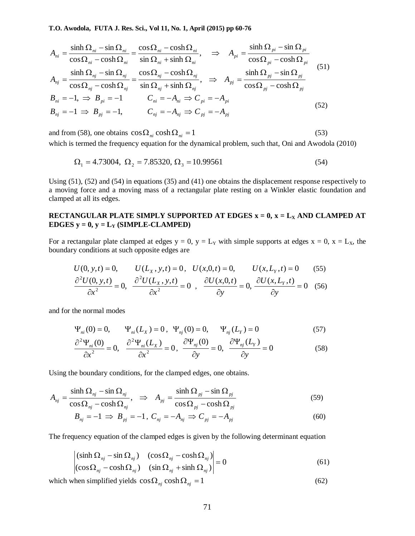$$
A_{ni} = \frac{\sinh \Omega_{ni} - \sin \Omega_{ni}}{\cos \Omega_{ni} - \cosh \Omega_{ni}} = \frac{\cos \Omega_{ni} - \cosh \Omega_{ni}}{\sin \Omega_{ni} + \sinh \Omega_{ni}}, \quad \Rightarrow \quad A_{pi} = \frac{\sinh \Omega_{pi} - \sin \Omega_{pi}}{\cos \Omega_{pi} - \cosh \Omega_{pi}}
$$
  
\n
$$
A_{nj} = \frac{\sinh \Omega_{nj} - \sin \Omega_{nj}}{\cos \Omega_{nj} - \cosh \Omega_{nj}} = \frac{\cos \Omega_{nj} - \cosh \Omega_{nj}}{\sin \Omega_{nj} + \sinh \Omega_{nj}}, \quad \Rightarrow \quad A_{pj} = \frac{\sinh \Omega_{pj} - \sin \Omega_{pj}}{\cos \Omega_{pj} - \cosh \Omega_{pj}}
$$
  
\n
$$
B_{ni} = -1, \Rightarrow B_{pi} = -1 \qquad C_{ni} = -A_{ni} \Rightarrow C_{pi} = -A_{pi}
$$
  
\n
$$
B_{nj} = -1 \Rightarrow B_{pj} = -1, \qquad C_{nj} = -A_{nj} \Rightarrow C_{pj} = -A_{pj}
$$
  
\n(52)

and from (58), one obtains  $\cos \Omega_{ni} \cosh \Omega_{ni} = 1$  (53) which is termed the frequency equation for the dynamical problem, such that, Oni and Awodola (2010)

$$
\Omega_1 = 4.73004, \ \Omega_2 = 7.85320, \ \Omega_3 = 10.99561 \tag{54}
$$

Using (51), (52) and (54) in equations (35) and (41) one obtains the displacement response respectively to a moving force and a moving mass of a rectangular plate resting on a Winkler elastic foundation and clamped at all its edges.

## **RECTANGULAR PLATE SIMPLY SUPPORTED AT EDGES**  $x = 0$ **,**  $x = L_X$  **AND CLAMPED AT EDGES**  $y = 0$ ,  $y = L_Y$  **(SIMPLE-CLAMPED)**

For a rectangular plate clamped at edges  $y = 0$ ,  $y = L_y$  with simple supports at edges  $x = 0$ ,  $x = L_x$ , the boundary conditions at such opposite edges are

$$
U(0, y, t) = 0, \qquad U(L_x, y, t) = 0, \qquad U(x, 0, t) = 0, \qquad U(x, L_y, t) = 0 \qquad (55)
$$
  

$$
\frac{\partial^2 U(0, y, t)}{\partial x^2} = 0, \qquad \frac{\partial^2 U(L_x, y, t)}{\partial x^2} = 0, \qquad \frac{\partial U(x, 0, t)}{\partial y} = 0, \qquad \frac{\partial U(x, L_y, t)}{\partial y} = 0 \qquad (56)
$$

and for the normal modes

$$
\Psi_{ni}(0) = 0, \qquad \Psi_{ni}(L_X) = 0, \quad \Psi_{nj}(0) = 0, \qquad \Psi_{nj}(L_Y) = 0
$$
\n(57)

$$
\frac{\partial^2 \Psi_{ni}(0)}{\partial x^2} = 0, \quad \frac{\partial^2 \Psi_{ni}(L_X)}{\partial x^2} = 0, \quad \frac{\partial \Psi_{nj}(0)}{\partial y} = 0, \quad \frac{\partial \Psi_{nj}(L_Y)}{\partial y} = 0 \tag{58}
$$

Using the boundary conditions, for the clamped edges, one obtains.

$$
A_{nj} = \frac{\sinh \Omega_{nj} - \sin \Omega_{nj}}{\cos \Omega_{nj} - \cosh \Omega_{nj}}, \quad \Rightarrow \quad A_{pj} = \frac{\sinh \Omega_{pj} - \sin \Omega_{pj}}{\cos \Omega_{pj} - \cosh \Omega_{pj}} \tag{59}
$$

$$
B_{nj} = -1 \implies B_{pj} = -1, \ C_{nj} = -A_{nj} \implies C_{pj} = -A_{pj} \tag{60}
$$

The frequency equation of the clamped edges is given by the following determinant equation

$$
\begin{vmatrix}\n(\sinh \Omega_{nj} - \sin \Omega_{nj}) & (\cos \Omega_{nj} - \cosh \Omega_{nj}) \\
(\cos \Omega_{nj} - \cosh \Omega_{nj}) & (\sin \Omega_{nj} + \sinh \Omega_{nj})\n\end{vmatrix} = 0
$$
\n(61)

which when simplified yields  $\cos \Omega_{ni} \cosh \Omega_{ni} = 1$  (62)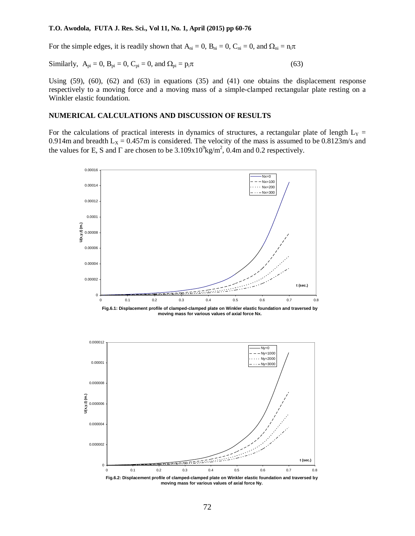For the simple edges, it is readily shown that  $A_{ni} = 0$ ,  $B_{ni} = 0$ ,  $C_{ni} = 0$ , and  $\Omega_{ni} = n_i \pi$ 

Similarly, 
$$
A_{pi} = 0
$$
,  $B_{pi} = 0$ ,  $C_{pi} = 0$ , and  $\Omega_{pi} = p_i \pi$  (63)

Using (59), (60), (62) and (63) in equations (35) and (41) one obtains the displacement response respectively to a moving force and a moving mass of a simple-clamped rectangular plate resting on a Winkler elastic foundation.

## **NUMERICAL CALCULATIONS AND DISCUSSION OF RESULTS**

For the calculations of practical interests in dynamics of structures, a rectangular plate of length  $L<sub>Y</sub>$  = 0.914m and breadth  $L_x = 0.457$ m is considered. The velocity of the mass is assumed to be 0.8123m/s and the values for E, S and  $\Gamma$  are chosen to be  $3.109x10^9$ kg/m<sup>2</sup>, 0.4m and 0.2 respectively.



**moving mass for various values of axial force Ny.**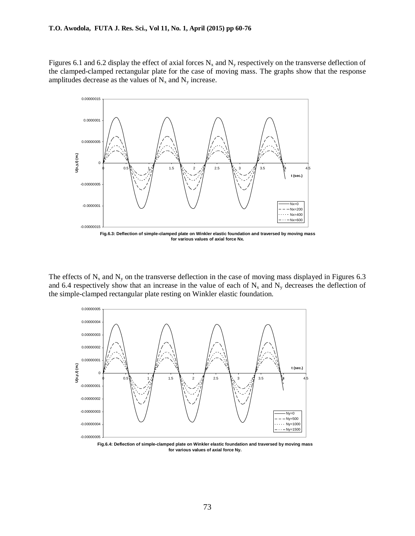Figures 6.1 and 6.2 display the effect of axial forces  $N_x$  and  $N_y$  respectively on the transverse deflection of the clamped-clamped rectangular plate for the case of moving mass. The graphs show that the response amplitudes decrease as the values of  $N_x$  and  $N_y$  increase.



The effects of  $N_x$  and  $N_y$  on the transverse deflection in the case of moving mass displayed in Figures 6.3 and 6.4 respectively show that an increase in the value of each of  $N_x$  and  $N_y$  decreases the deflection of the simple-clamped rectangular plate resting on Winkler elastic foundation.



**Fig.6.4: Deflection of simple-clamped plate on Winkler elastic foundation and traversed by moving mass for various values of axial force Ny.**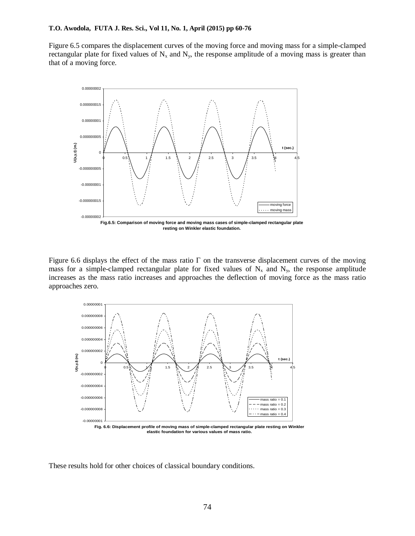Figure 6.5 compares the displacement curves of the moving force and moving mass for a simple-clamped rectangular plate for fixed values of  $N_x$  and  $N_y$ , the response amplitude of a moving mass is greater than that of a moving force.



**resting on Winkler elastic foundation.**

Figure 6.6 displays the effect of the mass ratio  $\Gamma$  on the transverse displacement curves of the moving mass for a simple-clamped rectangular plate for fixed values of  $N_x$  and  $N_y$ , the response amplitude increases as the mass ratio increases and approaches the deflection of moving force as the mass ratio approaches zero.



**Fig. 6.6: Displacement profile of moving mass of simple-clamped rectangular plate resting on Winkler elastic foundation for various values of mass ratio.**

These results hold for other choices of classical boundary conditions.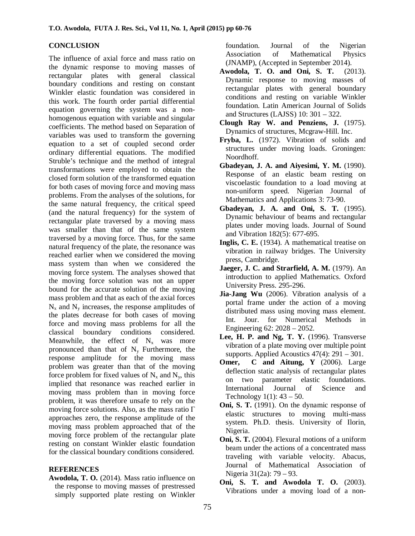## **CONCLUSION**

The influence of axial force and mass ratio on the dynamic response to moving masses of rectangular plates with general classical boundary conditions and resting on constant Winkler elastic foundation was considered in this work. The fourth order partial differential equation governing the system was a nonhomogenous equation with variable and singular coefficients. The method based on Separation of variables was used to transform the governing equation to a set of coupled second order ordinary differential equations. The modified Struble's technique and the method of integral transformations were employed to obtain the closed form solution of the transformed equation for both cases of moving force and moving mass problems. From the analyses of the solutions, for the same natural frequency, the critical speed (and the natural frequency) for the system of rectangular plate traversed by a moving mass was smaller than that of the same system traversed by a moving force. Thus, for the same natural frequency of the plate, the resonance was reached earlier when we considered the moving mass system than when we considered the moving force system. The analyses showed that the moving force solution was not an upper bound for the accurate solution of the moving mass problem and that as each of the axial forces  $N_x$  and  $N_y$  increases, the response amplitudes of the plates decrease for both cases of moving force and moving mass problems for all the classical boundary conditions considered. Meanwhile, the effect of  $N_x$  was more pronounced than that of  $N_v$  Furthermore, the response amplitude for the moving mass problem was greater than that of the moving force problem for fixed values of  $N_x$  and  $N_y$ , this implied that resonance was reached earlier in moving mass problem than in moving force problem, it was therefore unsafe to rely on the moving force solutions. Also, as the mass ratio  $\Gamma$ approaches zero, the response amplitude of the moving mass problem approached that of the moving force problem of the rectangular plate resting on constant Winkler elastic foundation for the classical boundary conditions considered.

## **REFERENCES**

**Awodola, T. O.** (2014). Mass ratio influence on the response to moving masses of prestressed simply supported plate resting on Winkler

foundation. Journal of the Nigerian Association of Mathematical Physics (JNAMP), (Accepted in September 2014).

- **Awodola, T. O. and Oni, S. T.** (2013). Dynamic response to moving masses of rectangular plates with general boundary conditions and resting on variable Winkler foundation. Latin American Journal of Solids and Structures (LAJSS) 10: 301 – 322.
- **Clough Ray W. and Penziens, J.** (1975). Dynamics of structures, Mcgraw-Hill. Inc.
- **Fryba, L.** (1972). Vibration of solids and structures under moving loads. Groningen: Noordhoff.
- **Gbadeyan, J. A. and Aiyesimi, Y. M.** (1990). Response of an elastic beam resting on viscoelastic foundation to a load moving at non-uniform speed. Nigerian Journal of Mathematics and Applications 3: 73-90.
- **Gbadeyan, J. A. and Oni, S. T.** (1995). Dynamic behaviour of beams and rectangular plates under moving loads. Journal of Sound and Vibration 182(5): 677-695.
- **Inglis, C. E.** (1934). A mathematical treatise on vibration in railway bridges. The University press, Cambridge.
- **Jaeger, J. C. and Strarfield, A. M.** (1979). An introduction to applied Mathematics. Oxford University Press. 295-296.
- **Jia-Jang Wu** (2006). Vibration analysis of a portal frame under the action of a moving distributed mass using moving mass element. Int. Jour. for Numerical Methods in Engineering 62: 2028 – 2052.
- **Lee, H. P. and Ng, T. Y.** (1996). Transverse vibration of a plate moving over multiple point supports. Applied Acoustics 47(4): 291 – 301.
- **Omer, C and Aitung, Y (2006).** Large deflection static analysis of rectangular plates on two parameter elastic foundations. International Journal of Science and Technology  $1(1)$ : 43 – 50.
- **Oni, S. T.** (1991). On the dynamic response of elastic structures to moving multi-mass system. Ph.D. thesis. University of Ilorin, Nigeria.
- **Oni, S. T.** (2004). Flexural motions of a uniform beam under the actions of a concentrated mass traveling with variable velocity. Abacus, Journal of Mathematical Association of Nigeria 31(2a): 79 – 93.
- **Oni, S. T. and Awodola T. O.** (2003). Vibrations under a moving load of a non-